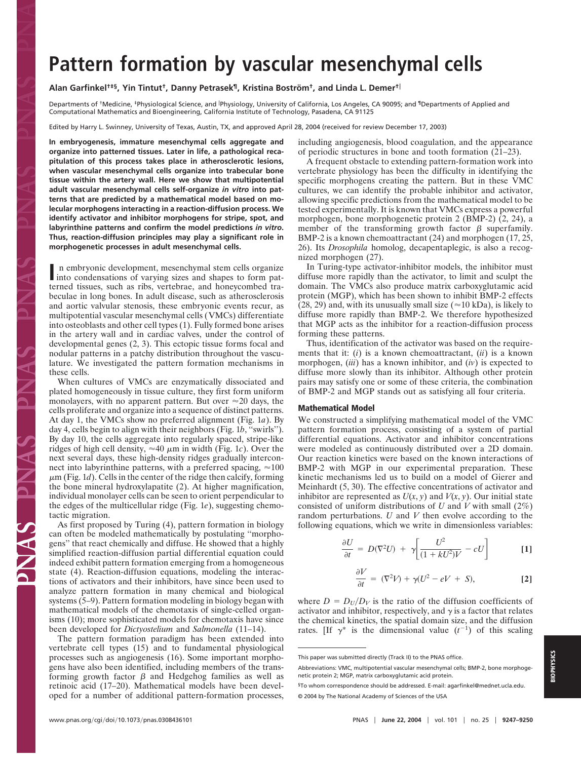# **Pattern formation by vascular mesenchymal cells**

## Alan Garfinkel<sup>†‡§</sup>, Yin Tintut<sup>†</sup>, Danny Petrasek<sup>¶</sup>, Kristina Boström<sup>†</sup>, and Linda L. Demer<sup>†</sup>

Departments of †Medicine, ‡Physiological Science, and 『Physiology, University of California, Los Angeles, CA 90095; and 『Departments of Applied and Computational Mathematics and Bioengineering, California Institute of Technology, Pasadena, CA 91125

Edited by Harry L. Swinney, University of Texas, Austin, TX, and approved April 28, 2004 (received for review December 17, 2003)

**In embryogenesis, immature mesenchymal cells aggregate and organize into patterned tissues. Later in life, a pathological recapitulation of this process takes place in atherosclerotic lesions, when vascular mesenchymal cells organize into trabecular bone tissue within the artery wall. Here we show that multipotential adult vascular mesenchymal cells self-organize** *in vitro* **into patterns that are predicted by a mathematical model based on molecular morphogens interacting in a reaction-diffusion process. We identify activator and inhibitor morphogens for stripe, spot, and labyrinthine patterns and confirm the model predictions** *in vitro***. Thus, reaction-diffusion principles may play a significant role in morphogenetic processes in adult mesenchymal cells.**

In embryonic development, mesenchymal stem cells organize<br>into condensations of varying sizes and shapes to form patterned tissues, such as ribs, vertebrae, and honeycombed trabeculae in long bones. In adult disease, such as atherosclerosis and aortic valvular stenosis, these embryonic events recur, as multipotential vascular mesenchymal cells (VMCs) differentiate into osteoblasts and other cell types (1). Fully formed bone arises in the artery wall and in cardiac valves, under the control of developmental genes (2, 3). This ectopic tissue forms focal and nodular patterns in a patchy distribution throughout the vasculature. We investigated the pattern formation mechanisms in these cells.

When cultures of VMCs are enzymatically dissociated and plated homogeneously in tissue culture, they first form uniform monolayers, with no apparent pattern. But over  $\approx$  20 days, the cells proliferate and organize into a sequence of distinct patterns. At day 1, the VMCs show no preferred alignment (Fig. 1*a*). By day 4, cells begin to align with their neighbors (Fig. 1*b*, ''swirls''). By day 10, the cells aggregate into regularly spaced, stripe-like ridges of high cell density,  $\approx 40 \mu m$  in width (Fig. 1*c*). Over the next several days, these high-density ridges gradually interconnect into labyrinthine patterns, with a preferred spacing,  $\approx 100$  $\mu$ m (Fig. 1*d*). Cells in the center of the ridge then calcify, forming the bone mineral hydroxylapatite (2). At higher magnification, individual monolayer cells can be seen to orient perpendicular to the edges of the multicellular ridge (Fig. 1*e*), suggesting chemotactic migration.

As first proposed by Turing (4), pattern formation in biology can often be modeled mathematically by postulating ''morphogens'' that react chemically and diffuse. He showed that a highly simplified reaction-diffusion partial differential equation could indeed exhibit pattern formation emerging from a homogeneous state (4). Reaction-diffusion equations, modeling the interactions of activators and their inhibitors, have since been used to analyze pattern formation in many chemical and biological systems (5–9). Pattern formation modeling in biology began with mathematical models of the chemotaxis of single-celled organisms (10); more sophisticated models for chemotaxis have since been developed for *Dictyostelium* and *Salmonella* (11–14).

The pattern formation paradigm has been extended into vertebrate cell types (15) and to fundamental physiological processes such as angiogenesis (16). Some important morphogens have also been identified, including members of the transforming growth factor  $\beta$  and Hedgehog families as well as retinoic acid (17–20). Mathematical models have been developed for a number of additional pattern-formation processes, including angiogenesis, blood coagulation, and the appearance of periodic structures in bone and tooth formation (21–23).

A frequent obstacle to extending pattern-formation work into vertebrate physiology has been the difficulty in identifying the specific morphogens creating the pattern. But in these VMC cultures, we can identify the probable inhibitor and activator, allowing specific predictions from the mathematical model to be tested experimentally. It is known that VMCs express a powerful morphogen, bone morphogenetic protein 2 (BMP-2) (2, 24), a member of the transforming growth factor  $\beta$  superfamily. BMP-2 is a known chemoattractant (24) and morphogen (17, 25, 26). Its *Drosophila* homolog, decapentaplegic, is also a recognized morphogen (27).

In Turing-type activator-inhibitor models, the inhibitor must diffuse more rapidly than the activator, to limit and sculpt the domain. The VMCs also produce matrix carboxyglutamic acid protein (MGP), which has been shown to inhibit BMP-2 effects (28, 29) and, with its unusually small size ( $\approx$  10 kDa), is likely to diffuse more rapidly than BMP-2. We therefore hypothesized that MGP acts as the inhibitor for a reaction-diffusion process forming these patterns.

Thus, identification of the activator was based on the requirements that it: (*i*) is a known chemoattractant, (*ii*) is a known morphogen, (*iii*) has a known inhibitor, and (*iv*) is expected to diffuse more slowly than its inhibitor. Although other protein pairs may satisfy one or some of these criteria, the combination of BMP-2 and MGP stands out as satisfying all four criteria.

#### **Mathematical Model**

We constructed a simplifying mathematical model of the VMC pattern formation process, consisting of a system of partial differential equations. Activator and inhibitor concentrations were modeled as continuously distributed over a 2D domain. Our reaction kinetics were based on the known interactions of BMP-2 with MGP in our experimental preparation. These kinetic mechanisms led us to build on a model of Gierer and Meinhardt (5, 30). The effective concentrations of activator and inhibitor are represented as  $U(x, y)$  and  $V(x, y)$ . Our initial state consisted of uniform distributions of *U* and *V* with small (2%) random perturbations. *U* and *V* then evolve according to the following equations, which we write in dimensionless variables:

$$
\frac{\partial U}{\partial t} = D(\nabla^2 U) + \gamma \bigg[ \frac{U^2}{(1 + kU^2)V} - cU \bigg] \qquad [1]
$$

$$
\frac{\partial V}{\partial t} = (\nabla^2 V) + \gamma (U^2 - eV + S), \tag{2}
$$

where  $D = D_U/D_V$  is the ratio of the diffusion coefficients of activator and inhibitor, respectively, and  $\gamma$  is a factor that relates the chemical kinetics, the spatial domain size, and the diffusion rates. [If  $\gamma^*$  is the dimensional value  $(t^{-1})$  of this scaling

This paper was submitted directly (Track II) to the PNAS office.

Abbreviations: VMC, multipotential vascular mesenchymal cells; BMP-2, bone morphogenetic protein 2; MGP, matrix carboxyglutamic acid protein.

<sup>§</sup>To whom correspondence should be addressed. E-mail: agarfinkel@mednet.ucla.edu. © 2004 by The National Academy of Sciences of the USA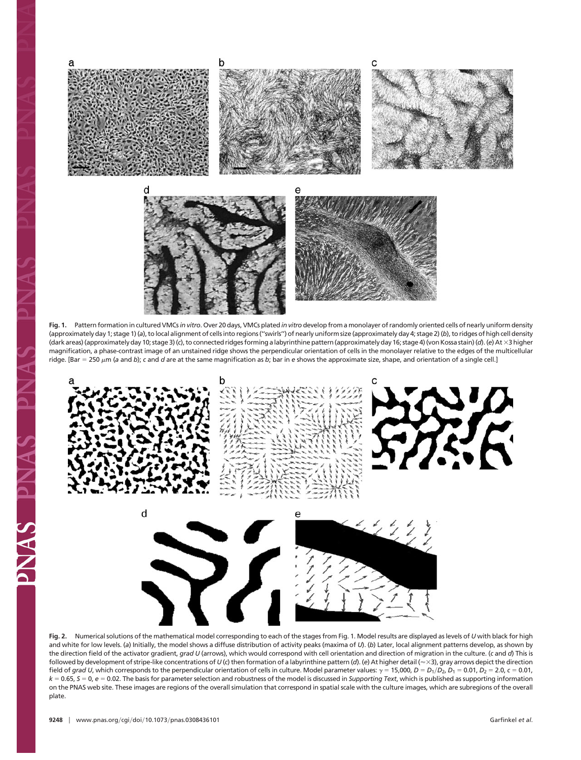

**Fig. 1.** Pattern formation in cultured VMCs*in vitro*. Over 20 days, VMCs plated *in vitro* develop from a monolayer of randomly oriented cells of nearly uniform density (approximately day 1; stage 1) (*a*), to local alignment of cells into regions (''swirls'') of nearly uniform size (approximately day 4; stage 2) (*b*), to ridges of high cell density (dark areas) (approximately day 10; stage 3) (*c*), to connected ridges forming a labyrinthine pattern (approximately day 16; stage 4) (von Kossa stain) (*d*). (*e*) At 3 higher magnification, a phase-contrast image of an unstained ridge shows the perpendicular orientation of cells in the monolayer relative to the edges of the multicellular ridge. [Bar = 250 μm (a and b); *c* and d are at the same magnification as b; bar in e shows the approximate size, shape, and orientation of a single cell.]



**Fig. 2.** Numerical solutions of the mathematical model corresponding to each of the stages from Fig. 1. Model results are displayed as levels of *U* with black for high and white for low levels. (a) Initially, the model shows a diffuse distribution of activity peaks (maxima of *U*). (b) Later, local alignment patterns develop, as shown by the direction field of the activator gradient, *grad U* (arrows), which would correspond with cell orientation and direction of migration in the culture. (*c* and *d*) This is followed by development of stripe-like concentrations of  $U$  (c) then formation of a labyrinthine pattern (d). (e) At higher detail ( $\approx$   $\times$  3), gray arrows depict the direction field of grad U, which corresponds to the perpendicular orientation of cells in culture. Model parameter values:  $\gamma = 15,000$ ,  $D = D_1/D_2$ ,  $D_1 = 0.01$ ,  $D_2 = 2.0$ ,  $c = 0.01$ ,  $k = 0.65$ ,  $S = 0$ ,  $e = 0.02$ . The basis for parameter selection and robustness of the model is discussed in *Supporting Text*, which is published as supporting information on the PNAS web site. These images are regions of the overall simulation that correspond in spatial scale with the culture images, which are subregions of the overall plate.

**CANAS**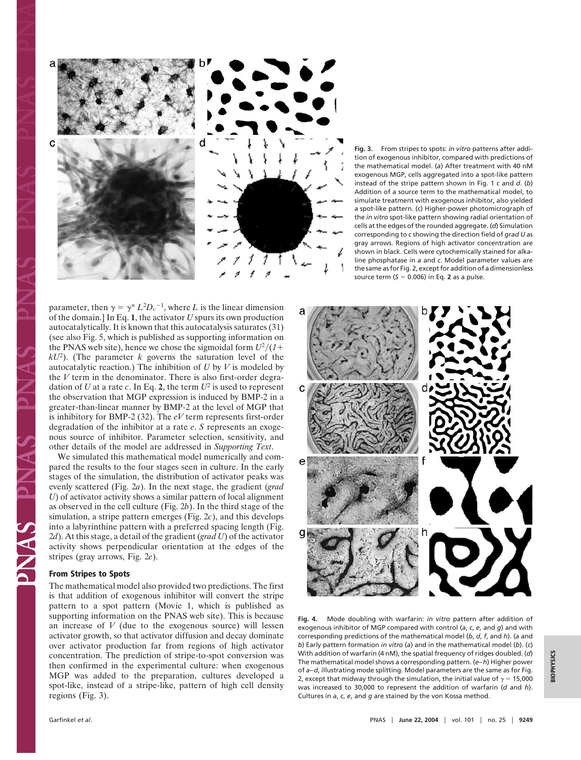

**Fig. 3.** From stripes to spots: *in vitro* patterns after addition of exogenous inhibitor, compared with predictions of the mathematical model. (*a*) After treatment with 40 nM exogenous MGP, cells aggregated into a spot-like pattern instead of the stripe pattern shown in Fig. 1 *c* and *d*. (*b*) Addition of a source term to the mathematical model, to simulate treatment with exogenous inhibitor, also yielded a spot-like pattern. (*c*) Higher-power photomicrograph of the *in vitro* spot-like pattern showing radial orientation of cells at the edges of the rounded aggregate. (*d*) Simulation corresponding to *c* showing the direction field of *grad U* as gray arrows. Regions of high activator concentration are shown in black. Cells were cytochemically stained for alkaline phosphatase in *a* and *c*. Model parameter values are the same as for Fig. 2, except for addition of a dimensionless source term  $(S = 0.006)$  in Eq. 2 as a pulse.

parameter, then  $\gamma = \gamma^* L^2 D_v^{-1}$ , where *L* is the linear dimension of the domain.] In Eq. **1**, the activator *U* spurs its own production autocatalytically. It is known that this autocatalysis saturates (31) (see also Fig. 5, which is published as supporting information on the PNAS web site), hence we chose the sigmoidal form  $U^2/(1 +$  $kU^2$ ). (The parameter *k* governs the saturation level of the autocatalytic reaction.) The inhibition of *U* by *V* is modeled by the *V* term in the denominator. There is also first-order degradation of *U* at a rate *c*. In Eq. 2, the term  $U^2$  is used to represent the observation that MGP expression is induced by BMP-2 in a greater-than-linear manner by BMP-2 at the level of MGP that is inhibitory for BMP-2 (32). The *eV* term represents first-order degradation of the inhibitor at a rate *e*. *S* represents an exogenous source of inhibitor. Parameter selection, sensitivity, and other details of the model are addressed in *Supporting Text*.

We simulated this mathematical model numerically and compared the results to the four stages seen in culture. In the early stages of the simulation, the distribution of activator peaks was evenly scattered (Fig. 2*a*). In the next stage, the gradient (*grad U*) of activator activity shows a similar pattern of local alignment as observed in the cell culture (Fig. 2*b*). In the third stage of the simulation, a stripe pattern emerges (Fig. 2*c*), and this develops into a labyrinthine pattern with a preferred spacing length (Fig. 2*d*). At this stage, a detail of the gradient (*grad U*) of the activator activity shows perpendicular orientation at the edges of the stripes (gray arrows, Fig. 2*e*).

## **From Stripes to Spots**

The mathematical model also provided two predictions. The first is that addition of exogenous inhibitor will convert the stripe pattern to a spot pattern (Movie 1, which is published as supporting information on the PNAS web site). This is because an increase of *V* (due to the exogenous source) will lessen activator growth, so that activator diffusion and decay dominate over activator production far from regions of high activator concentration. The prediction of stripe-to-spot conversion was then confirmed in the experimental culture: when exogenous MGP was added to the preparation, cultures developed a spot-like, instead of a stripe-like, pattern of high cell density regions (Fig. 3).

**Fig. 4.** Mode doubling with warfarin: *in vitro* pattern after addition of exogenous inhibitor of MGP compared with control (*a*, *c*, *e*, and *g*) and with corresponding predictions of the mathematical model (*b*, *d*, *f*, and *h*). (*a* and *b*) Early pattern formation *in vitro* (*a*) and in the mathematical model (*b*). (*c*) With addition of warfarin (4 nM), the spatial frequency of ridges doubled. (*d*) The mathematical model shows a corresponding pattern. (*e–h*) Higher power of *a–d*, illustrating mode splitting. Model parameters are the same as for Fig. 2, except that midway through the simulation, the initial value of  $\gamma = 15,000$ was increased to 30,000 to represent the addition of warfarin (*d* and *h*). Cultures in *a*, *c*, *e*, and *g* are stained by the von Kossa method.